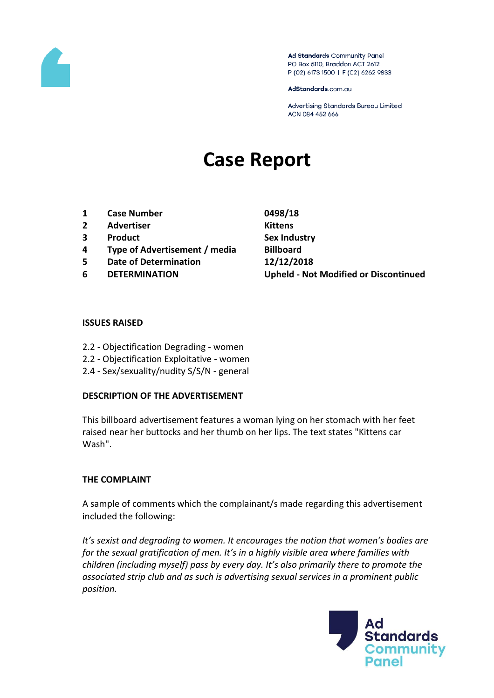

Ad Standards Community Panel PO Box 5110, Braddon ACT 2612 P (02) 6173 1500 | F (02) 6262 9833

AdStandards.com.au

Advertising Standards Bureau Limited ACN 084 452 666

# **Case Report**

- **1 Case Number 0498/18**
- **2 Advertiser Kittens**
- **3 Product Sex Industry**
- **4 Type of Advertisement / media Billboard**
- **5 Date of Determination 12/12/2018**
- 

**6 DETERMINATION Upheld - Not Modified or Discontinued**

#### **ISSUES RAISED**

- 2.2 Objectification Degrading women
- 2.2 Objectification Exploitative women
- 2.4 Sex/sexuality/nudity S/S/N general

#### **DESCRIPTION OF THE ADVERTISEMENT**

This billboard advertisement features a woman lying on her stomach with her feet raised near her buttocks and her thumb on her lips. The text states "Kittens car Wash".

#### **THE COMPLAINT**

A sample of comments which the complainant/s made regarding this advertisement included the following:

*It's sexist and degrading to women. It encourages the notion that women's bodies are for the sexual gratification of men. It's in a highly visible area where families with children (including myself) pass by every day. It's also primarily there to promote the associated strip club and as such is advertising sexual services in a prominent public position.*

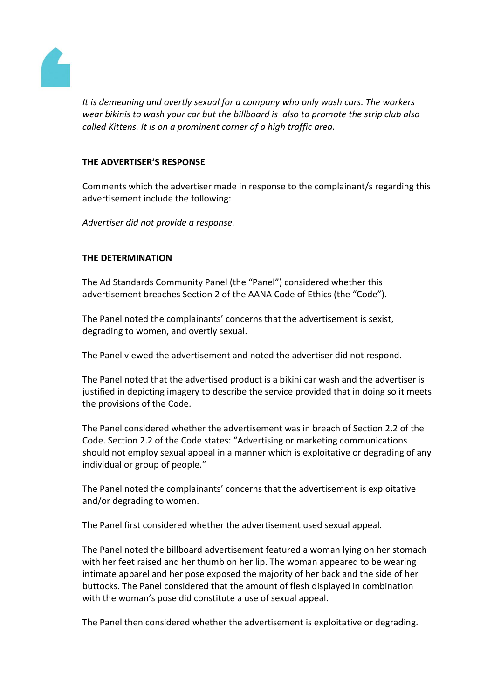

*It is demeaning and overtly sexual for a company who only wash cars. The workers wear bikinis to wash your car but the billboard is also to promote the strip club also called Kittens. It is on a prominent corner of a high traffic area.*

### **THE ADVERTISER'S RESPONSE**

Comments which the advertiser made in response to the complainant/s regarding this advertisement include the following:

*Advertiser did not provide a response.*

## **THE DETERMINATION**

The Ad Standards Community Panel (the "Panel") considered whether this advertisement breaches Section 2 of the AANA Code of Ethics (the "Code").

The Panel noted the complainants' concerns that the advertisement is sexist, degrading to women, and overtly sexual.

The Panel viewed the advertisement and noted the advertiser did not respond.

The Panel noted that the advertised product is a bikini car wash and the advertiser is justified in depicting imagery to describe the service provided that in doing so it meets the provisions of the Code.

The Panel considered whether the advertisement was in breach of Section 2.2 of the Code. Section 2.2 of the Code states: "Advertising or marketing communications should not employ sexual appeal in a manner which is exploitative or degrading of any individual or group of people."

The Panel noted the complainants' concerns that the advertisement is exploitative and/or degrading to women.

The Panel first considered whether the advertisement used sexual appeal.

The Panel noted the billboard advertisement featured a woman lying on her stomach with her feet raised and her thumb on her lip. The woman appeared to be wearing intimate apparel and her pose exposed the majority of her back and the side of her buttocks. The Panel considered that the amount of flesh displayed in combination with the woman's pose did constitute a use of sexual appeal.

The Panel then considered whether the advertisement is exploitative or degrading.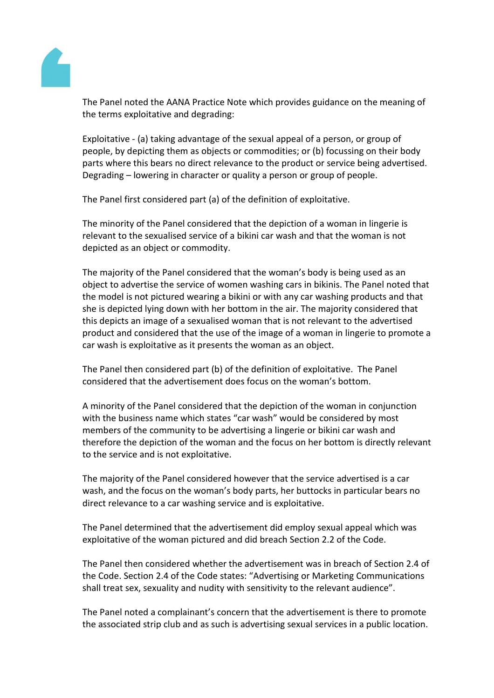

The Panel noted the AANA Practice Note which provides guidance on the meaning of the terms exploitative and degrading:

Exploitative - (a) taking advantage of the sexual appeal of a person, or group of people, by depicting them as objects or commodities; or (b) focussing on their body parts where this bears no direct relevance to the product or service being advertised. Degrading – lowering in character or quality a person or group of people.

The Panel first considered part (a) of the definition of exploitative.

The minority of the Panel considered that the depiction of a woman in lingerie is relevant to the sexualised service of a bikini car wash and that the woman is not depicted as an object or commodity.

The majority of the Panel considered that the woman's body is being used as an object to advertise the service of women washing cars in bikinis. The Panel noted that the model is not pictured wearing a bikini or with any car washing products and that she is depicted lying down with her bottom in the air. The majority considered that this depicts an image of a sexualised woman that is not relevant to the advertised product and considered that the use of the image of a woman in lingerie to promote a car wash is exploitative as it presents the woman as an object.

The Panel then considered part (b) of the definition of exploitative. The Panel considered that the advertisement does focus on the woman's bottom.

A minority of the Panel considered that the depiction of the woman in conjunction with the business name which states "car wash" would be considered by most members of the community to be advertising a lingerie or bikini car wash and therefore the depiction of the woman and the focus on her bottom is directly relevant to the service and is not exploitative.

The majority of the Panel considered however that the service advertised is a car wash, and the focus on the woman's body parts, her buttocks in particular bears no direct relevance to a car washing service and is exploitative.

The Panel determined that the advertisement did employ sexual appeal which was exploitative of the woman pictured and did breach Section 2.2 of the Code.

The Panel then considered whether the advertisement was in breach of Section 2.4 of the Code. Section 2.4 of the Code states: "Advertising or Marketing Communications shall treat sex, sexuality and nudity with sensitivity to the relevant audience".

The Panel noted a complainant's concern that the advertisement is there to promote the associated strip club and as such is advertising sexual services in a public location.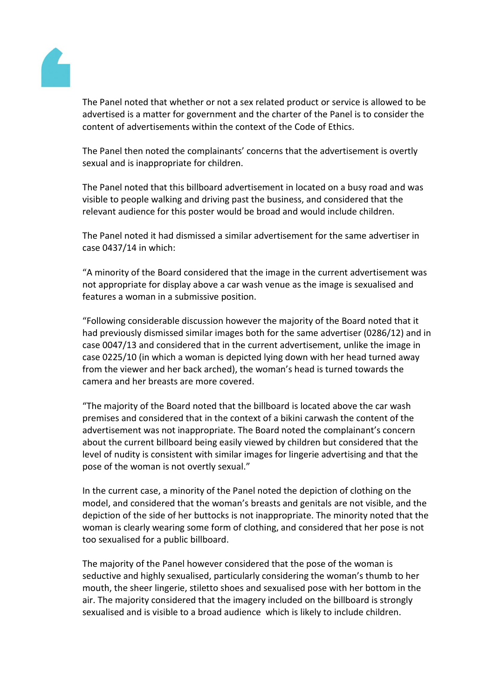

The Panel noted that whether or not a sex related product or service is allowed to be advertised is a matter for government and the charter of the Panel is to consider the content of advertisements within the context of the Code of Ethics.

The Panel then noted the complainants' concerns that the advertisement is overtly sexual and is inappropriate for children.

The Panel noted that this billboard advertisement in located on a busy road and was visible to people walking and driving past the business, and considered that the relevant audience for this poster would be broad and would include children.

The Panel noted it had dismissed a similar advertisement for the same advertiser in case 0437/14 in which:

"A minority of the Board considered that the image in the current advertisement was not appropriate for display above a car wash venue as the image is sexualised and features a woman in a submissive position.

"Following considerable discussion however the majority of the Board noted that it had previously dismissed similar images both for the same advertiser (0286/12) and in case 0047/13 and considered that in the current advertisement, unlike the image in case 0225/10 (in which a woman is depicted lying down with her head turned away from the viewer and her back arched), the woman's head is turned towards the camera and her breasts are more covered.

"The majority of the Board noted that the billboard is located above the car wash premises and considered that in the context of a bikini carwash the content of the advertisement was not inappropriate. The Board noted the complainant's concern about the current billboard being easily viewed by children but considered that the level of nudity is consistent with similar images for lingerie advertising and that the pose of the woman is not overtly sexual."

In the current case, a minority of the Panel noted the depiction of clothing on the model, and considered that the woman's breasts and genitals are not visible, and the depiction of the side of her buttocks is not inappropriate. The minority noted that the woman is clearly wearing some form of clothing, and considered that her pose is not too sexualised for a public billboard.

The majority of the Panel however considered that the pose of the woman is seductive and highly sexualised, particularly considering the woman's thumb to her mouth, the sheer lingerie, stiletto shoes and sexualised pose with her bottom in the air. The majority considered that the imagery included on the billboard is strongly sexualised and is visible to a broad audience which is likely to include children.